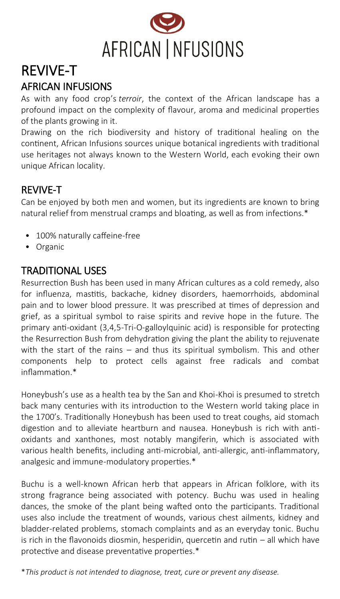

# REVIVE-T AFRICAN INFUSIONS

As with any food crop's *terroir*, the context of the African landscape has a profound impact on the complexity of flavour, aroma and medicinal properties of the plants growing in it.

Drawing on the rich biodiversity and history of traditional healing on the continent, African Infusions sources unique botanical ingredients with traditional use heritages not always known to the Western World, each evoking their own unique African locality.

### REVIVE-T

Can be enjoyed by both men and women, but its ingredients are known to bring natural relief from menstrual cramps and bloating, as well as from infections.\*

- 100% naturally caffeine-free
- Organic

## TRADITIONAL USES

Resurrection Bush has been used in many African cultures as a cold remedy, also for influenza, mastitis, backache, kidney disorders, haemorrhoids, abdominal pain and to lower blood pressure. It was prescribed at times of depression and grief, as a spiritual symbol to raise spirits and revive hope in the future. The primary anti-oxidant (3,4,5-Tri-O-galloylquinic acid) is responsible for protecting the Resurrection Bush from dehydration giving the plant the ability to rejuvenate with the start of the rains – and thus its spiritual symbolism. This and other components help to protect cells against free radicals and combat inflammation.\*

Honeybush's use as a health tea by the San and Khoi-Khoi is presumed to stretch back many centuries with its introduction to the Western world taking place in the 1700's. Traditionally Honeybush has been used to treat coughs, aid stomach digestion and to alleviate heartburn and nausea. Honeybush is rich with antioxidants and xanthones, most notably mangiferin, which is associated with various health benefits, including anti-microbial, anti-allergic, anti-inflammatory, analgesic and immune-modulatory properties.\*

Buchu is a well-known African herb that appears in African folklore, with its strong fragrance being associated with potency. Buchu was used in healing dances, the smoke of the plant being wafted onto the participants. Traditional uses also include the treatment of wounds, various chest ailments, kidney and bladder-related problems, stomach complaints and as an everyday tonic. Buchu is rich in the flavonoids diosmin, hesperidin, quercetin and rutin – all which have protective and disease preventative properties.\*

\**This product is not intended to diagnose, treat, cure or prevent any disease.*